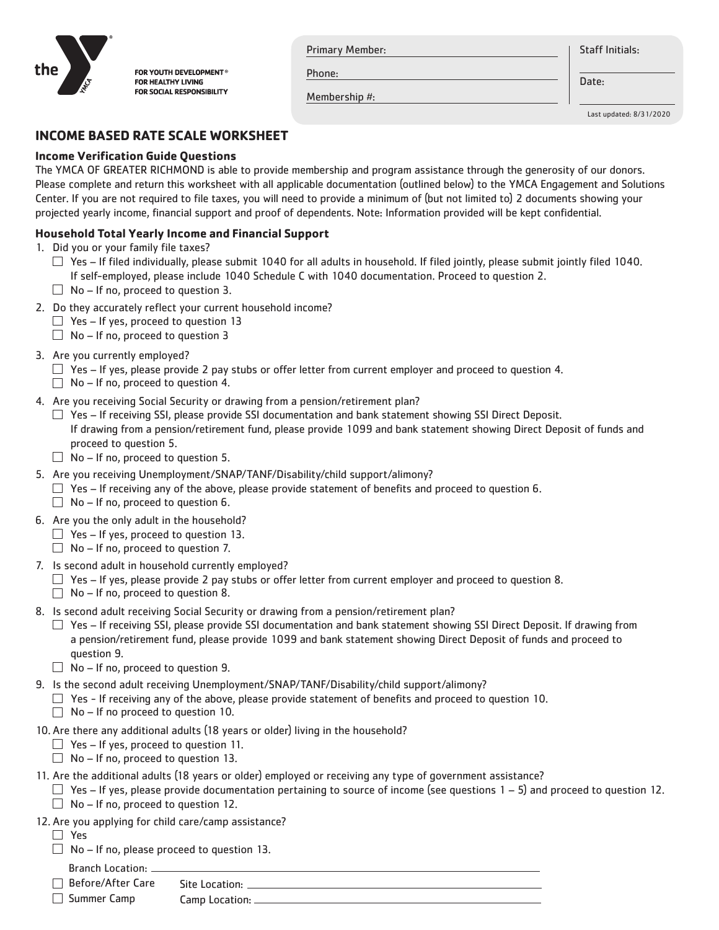

FOR YOUTH DEVELOPMENT® FOR HEALTHY LIVING FOR SOCIAL RESPONSIBILITY Primary Member:

**Staff Initials:** 

Phone:

Membership #:

Date:

Last updated: 8/31/2020

# **INCOME BASED RATE SCALE WORKSHEET**

### **Income Verification Guide Questions**

The YMCA OF GREATER RICHMOND is able to provide membership and program assistance through the generosity of our donors. Please complete and return this worksheet with all applicable documentation (outlined below) to the YMCA Engagement and Solutions Center. If you are not required to file taxes, you will need to provide a minimum of (but not limited to) 2 documents showing your projected yearly income, financial support and proof of dependents. Note: Information provided will be kept confidential.

## **Household Total Yearly Income and Financial Support**

- 1. Did you or your family file taxes?
	- $\Box$  Yes If filed individually, please submit 1040 for all adults in household. If filed jointly, please submit jointly filed 1040. If self-employed, please include 1040 Schedule C with 1040 documentation. Proceed to question 2.
	- $\Box$  No If no, proceed to question 3.
- 2. Do they accurately reflect your current household income?
	- $\Box$  Yes If yes, proceed to question 13
	- $\Box$  No If no, proceed to question 3
- 3. Are you currently employed?
	- $\Box$  Yes If yes, please provide 2 pay stubs or offer letter from current employer and proceed to question 4.
	- $\Box$  No If no, proceed to question 4.
- 4. Are you receiving Social Security or drawing from a pension/retirement plan?
	- $\Box$  Yes If receiving SSI, please provide SSI documentation and bank statement showing SSI Direct Deposit. If drawing from a pension/retirement fund, please provide 1099 and bank statement showing Direct Deposit of funds and proceed to question 5.
	- $\Box$  No If no, proceed to question 5.
- 5. Are you receiving Unemployment/SNAP/TANF/Disability/child support/alimony?
	- $\Box$  Yes If receiving any of the above, please provide statement of benefits and proceed to question 6.
	- $\Box$  No If no, proceed to question 6.
- 6. Are you the only adult in the household?
	- $\Box$  Yes If yes, proceed to question 13.
	- $\Box$  No If no, proceed to question 7.
- 7. Is second adult in household currently employed?
	- $\Box$  Yes If yes, please provide 2 pay stubs or offer letter from current employer and proceed to question 8.
	- $\Box$  No If no, proceed to question 8.
- 8. Is second adult receiving Social Security or drawing from a pension/retirement plan?
	- $\Box$  Yes If receiving SSI, please provide SSI documentation and bank statement showing SSI Direct Deposit. If drawing from a pension/retirement fund, please provide 1099 and bank statement showing Direct Deposit of funds and proceed to question 9.
	- $\Box$  No If no, proceed to question 9.
- 9. Is the second adult receiving Unemployment/SNAP/TANF/Disability/child support/alimony?
	- $\Box$  Yes If receiving any of the above, please provide statement of benefits and proceed to question 10.
	- $\Box$  No If no proceed to question 10.
- 10. Are there any additional adults (18 years or older) living in the household?
	- $\Box$  Yes If yes, proceed to question 11.
	- $\Box$  No If no, proceed to question 13.
- 11. Are the additional adults (18 years or older) employed or receiving any type of government assistance?
	- $\Box$  Yes If yes, please provide documentation pertaining to source of income (see questions 1 5) and proceed to question 12.
	- $\Box$  No If no, proceed to question 12.
- 12. Are you applying for child care/camp assistance?
	- Yes
	- $\Box$  No If no, please proceed to question 13.
		- Branch Location: \_
	- □ Before/After Care Site Location:

Summer Camp

Camp Location: